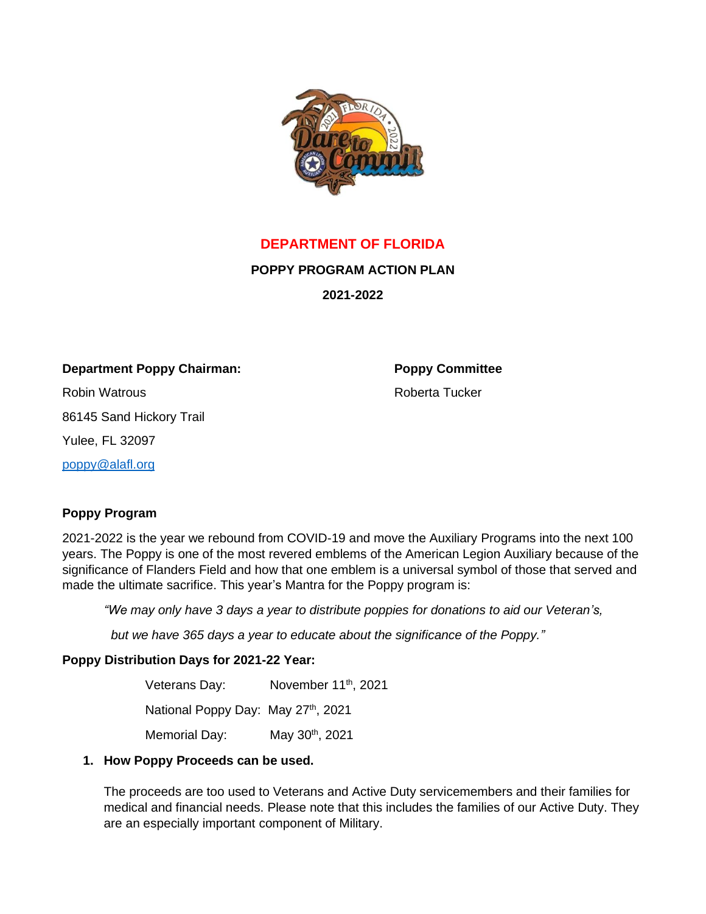

**DEPARTMENT OF FLORIDA**

**POPPY PROGRAM ACTION PLAN**

**2021-2022**

**Department Poppy Chairman: Poppy Committee**

Robin Watrous Roberta Tucker 86145 Sand Hickory Trail Yulee, FL 32097

[poppy@alafl.org](mailto:poppy@alafl.org)

# **Poppy Program**

2021-2022 is the year we rebound from COVID-19 and move the Auxiliary Programs into the next 100 years. The Poppy is one of the most revered emblems of the American Legion Auxiliary because of the significance of Flanders Field and how that one emblem is a universal symbol of those that served and made the ultimate sacrifice. This year's Mantra for the Poppy program is:

*"We may only have 3 days a year to distribute poppies for donations to aid our Veteran's,*

 *but we have 365 days a year to educate about the significance of the Poppy."*

# **Poppy Distribution Days for 2021-22 Year:**

Veterans Day: November 11<sup>th</sup>, 2021

National Poppy Day: May 27th, 2021

Memorial Day: May 30<sup>th</sup>, 2021

### **1. How Poppy Proceeds can be used.**

The proceeds are too used to Veterans and Active Duty servicemembers and their families for medical and financial needs. Please note that this includes the families of our Active Duty. They are an especially important component of Military.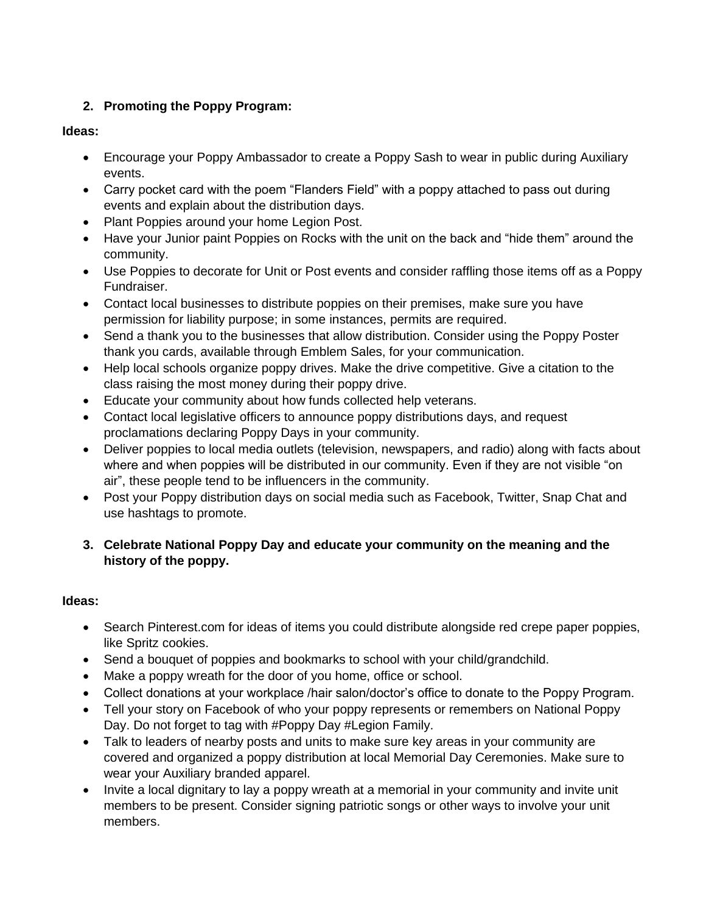# **2. Promoting the Poppy Program:**

# **Ideas:**

- Encourage your Poppy Ambassador to create a Poppy Sash to wear in public during Auxiliary events.
- Carry pocket card with the poem "Flanders Field" with a poppy attached to pass out during events and explain about the distribution days.
- Plant Poppies around your home Legion Post.
- Have your Junior paint Poppies on Rocks with the unit on the back and "hide them" around the community.
- Use Poppies to decorate for Unit or Post events and consider raffling those items off as a Poppy Fundraiser.
- Contact local businesses to distribute poppies on their premises, make sure you have permission for liability purpose; in some instances, permits are required.
- Send a thank you to the businesses that allow distribution. Consider using the Poppy Poster thank you cards, available through Emblem Sales, for your communication.
- Help local schools organize poppy drives. Make the drive competitive. Give a citation to the class raising the most money during their poppy drive.
- Educate your community about how funds collected help veterans.
- Contact local legislative officers to announce poppy distributions days, and request proclamations declaring Poppy Days in your community.
- Deliver poppies to local media outlets (television, newspapers, and radio) along with facts about where and when poppies will be distributed in our community. Even if they are not visible "on air", these people tend to be influencers in the community.
- Post your Poppy distribution days on social media such as Facebook, Twitter, Snap Chat and use hashtags to promote.
- **3. Celebrate National Poppy Day and educate your community on the meaning and the history of the poppy.**

# **Ideas:**

- Search Pinterest.com for ideas of items you could distribute alongside red crepe paper poppies, like Spritz cookies.
- Send a bouquet of poppies and bookmarks to school with your child/grandchild.
- Make a poppy wreath for the door of you home, office or school.
- Collect donations at your workplace /hair salon/doctor's office to donate to the Poppy Program.
- Tell your story on Facebook of who your poppy represents or remembers on National Poppy Day. Do not forget to tag with #Poppy Day #Legion Family.
- Talk to leaders of nearby posts and units to make sure key areas in your community are covered and organized a poppy distribution at local Memorial Day Ceremonies. Make sure to wear your Auxiliary branded apparel.
- Invite a local dignitary to lay a poppy wreath at a memorial in your community and invite unit members to be present. Consider signing patriotic songs or other ways to involve your unit members.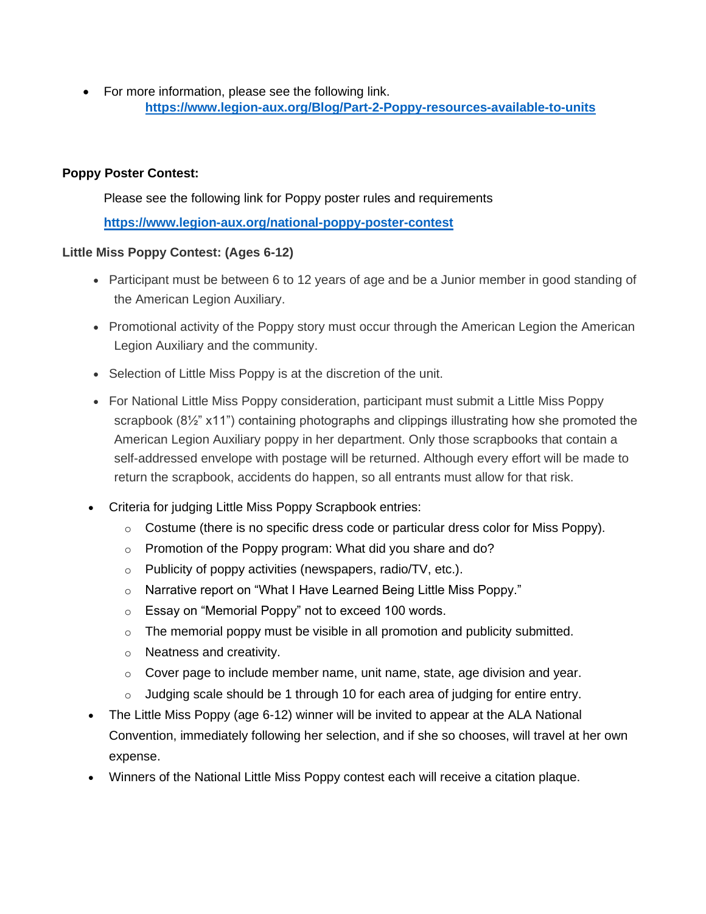• For more information, please see the following link. **<https://www.legion-aux.org/Blog/Part-2-Poppy-resources-available-to-units>**

### **Poppy Poster Contest:**

Please see the following link for Poppy poster rules and requirements

**<https://www.legion-aux.org/national-poppy-poster-contest>**

## **Little Miss Poppy Contest: (Ages 6-12)**

- Participant must be between 6 to 12 years of age and be a Junior member in good standing of the American Legion Auxiliary.
- Promotional activity of the Poppy story must occur through the American Legion the American Legion Auxiliary and the community.
- Selection of Little Miss Poppy is at the discretion of the unit.
- For National Little Miss Poppy consideration, participant must submit a Little Miss Poppy scrapbook (8½" x11") containing photographs and clippings illustrating how she promoted the American Legion Auxiliary poppy in her department. Only those scrapbooks that contain a self-addressed envelope with postage will be returned. Although every effort will be made to return the scrapbook, accidents do happen, so all entrants must allow for that risk.
- Criteria for judging Little Miss Poppy Scrapbook entries:
	- $\circ$  Costume (there is no specific dress code or particular dress color for Miss Poppy).
	- o Promotion of the Poppy program: What did you share and do?
	- $\circ$  Publicity of poppy activities (newspapers, radio/TV, etc.).
	- o Narrative report on "What I Have Learned Being Little Miss Poppy."
	- o Essay on "Memorial Poppy" not to exceed 100 words.
	- $\circ$  The memorial poppy must be visible in all promotion and publicity submitted.
	- o Neatness and creativity.
	- $\circ$  Cover page to include member name, unit name, state, age division and year.
	- $\circ$  Judging scale should be 1 through 10 for each area of judging for entire entry.
- The Little Miss Poppy (age 6-12) winner will be invited to appear at the ALA National Convention, immediately following her selection, and if she so chooses, will travel at her own expense.
- Winners of the National Little Miss Poppy contest each will receive a citation plaque.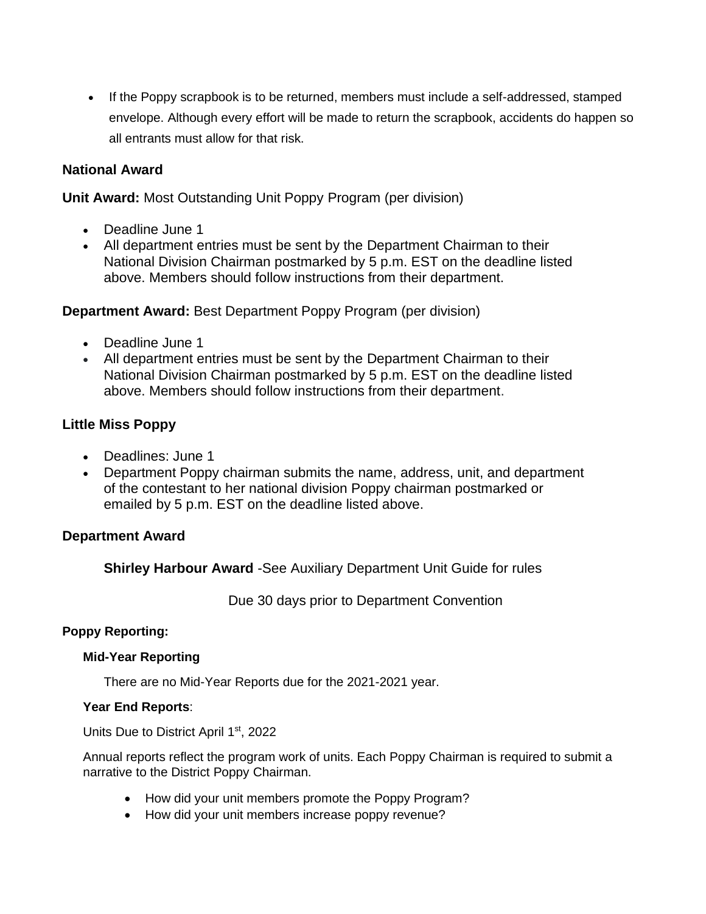• If the Poppy scrapbook is to be returned, members must include a self-addressed, stamped envelope. Although every effort will be made to return the scrapbook, accidents do happen so all entrants must allow for that risk.

# **National Award**

**Unit Award:** Most Outstanding Unit Poppy Program (per division)

- Deadline June 1
- All department entries must be sent by the Department Chairman to their National Division Chairman postmarked by 5 p.m. EST on the deadline listed above. Members should follow instructions from their department.

## **Department Award:** Best Department Poppy Program (per division)

- Deadline June 1
- All department entries must be sent by the Department Chairman to their National Division Chairman postmarked by 5 p.m. EST on the deadline listed above. Members should follow instructions from their department.

# **Little Miss Poppy**

- Deadlines: June 1
- Department Poppy chairman submits the name, address, unit, and department of the contestant to her national division Poppy chairman postmarked or emailed by 5 p.m. EST on the deadline listed above.

# **Department Award**

**Shirley Harbour Award** -See Auxiliary Department Unit Guide for rules

Due 30 days prior to Department Convention

### **Poppy Reporting:**

### **Mid-Year Reporting**

There are no Mid-Year Reports due for the 2021-2021 year.

### **Year End Reports**:

Units Due to District April 1<sup>st</sup>, 2022

Annual reports reflect the program work of units. Each Poppy Chairman is required to submit a narrative to the District Poppy Chairman.

- How did your unit members promote the Poppy Program?
- How did your unit members increase poppy revenue?